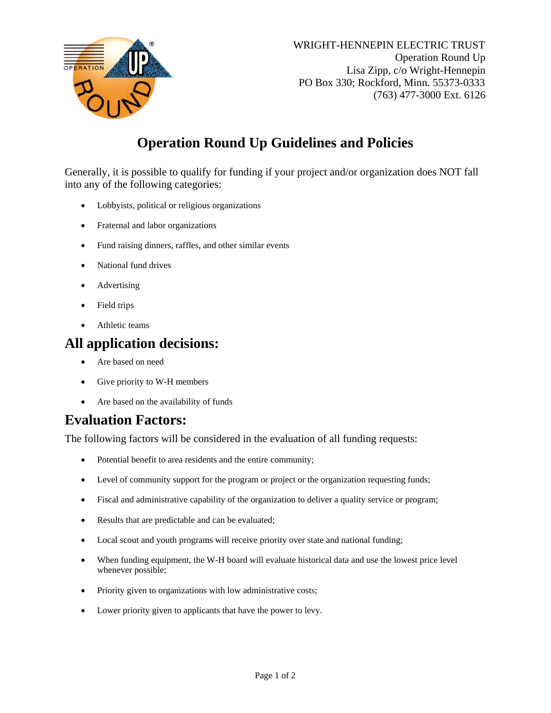

# **Operation Round Up Guidelines and Policies**

Generally, it is possible to qualify for funding if your project and/or organization does NOT fall into any of the following categories:

- Lobbyists, political or religious organizations
- Fraternal and labor organizations
- Fund raising dinners, raffles, and other similar events
- National fund drives
- Advertising
- Field trips
- Athletic teams

#### **All application decisions:**

- Are based on need
- Give priority to W-H members
- Are based on the availability of funds

#### **Evaluation Factors:**

The following factors will be considered in the evaluation of all funding requests:

- Potential benefit to area residents and the entire community;
- Level of community support for the program or project or the organization requesting funds;
- Fiscal and administrative capability of the organization to deliver a quality service or program;
- Results that are predictable and can be evaluated;
- Local scout and youth programs will receive priority over state and national funding;
- When funding equipment, the W-H board will evaluate historical data and use the lowest price level whenever possible;
- Priority given to organizations with low administrative costs;
- Lower priority given to applicants that have the power to levy.